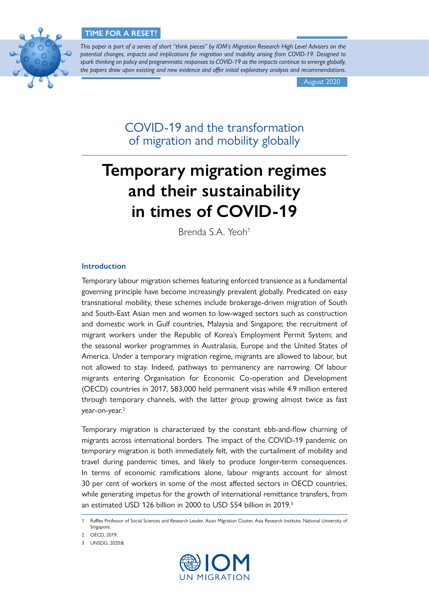# **TIME FOR A RESET?**



*This paper is part of a series of short "think pieces" by IOM's Migration Research High Level Advisers on the potential changes, impacts and implications for migration and mobility arising from COVID-19. Designed to spark thinking on policy and programmatic responses to COVID-19 as the impacts continue to emerge globally, the papers draw upon existing and new evidence and offer initial exploratory analysis and recommendations.*

August 2020

COVID-19 and the transformation of migration and mobility globally

# **Temporary migration regimes and their sustainability in times of COVID-19**

Brenda S.A. Yeoh<sup>1</sup>

# **Introduction**

Temporary labour migration schemes featuring enforced transience as a fundamental governing principle have become increasingly prevalent globally. Predicated on easy transnational mobility, these schemes include brokerage-driven migration of South and South-East Asian men and women to low-waged sectors such as construction and domestic work in Gulf countries, Malaysia and Singapore; the recruitment of migrant workers under the Republic of Korea's Employment Permit System; and the seasonal worker programmes in Australasia, Europe and the United States of America. Under a temporary migration regime, migrants are allowed to labour, but not allowed to stay. Indeed, pathways to permanency are narrowing. Of labour migrants entering Organisation for Economic Co-operation and Development (OECD) countries in 2017, 583,000 held permanent visas while 4.9 million entered through temporary channels, with the latter group growing almost twice as fast year-on-year.<sup>2</sup>

Temporary migration is characterized by the constant ebb-and-flow churning of migrants across international borders. The impact of the COVID-19 pandemic on temporary migration is both immediately felt, with the curtailment of mobility and travel during pandemic times, and likely to produce longer-term consequences. In terms of economic ramifications alone, labour migrants account for almost 30 per cent of workers in some of the most affected sectors in OECD countries, while generating impetus for the growth of international remittance transfers, from an estimated USD 126 billion in 2000 to USD 554 billion in 2019.<sup>3</sup>



Raffles Professor of Social Sciences and Research Leader, Asian Migration Cluster, Asia Research Institute, National University of Singapore.

<sup>2</sup> OECD, 2019.

<sup>3</sup> UNSDG, 2020:8.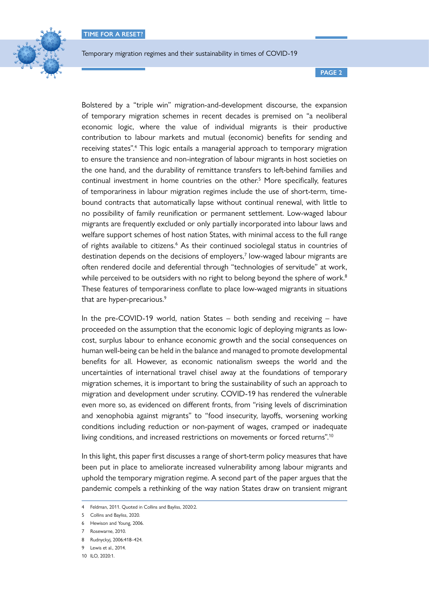

**PAGE 2**

Bolstered by a "triple win" migration-and-development discourse, the expansion of temporary migration schemes in recent decades is premised on "a neoliberal economic logic, where the value of individual migrants is their productive contribution to labour markets and mutual (economic) benefits for sending and receiving states".<sup>4</sup> This logic entails a managerial approach to temporary migration to ensure the transience and non-integration of labour migrants in host societies on the one hand, and the durability of remittance transfers to left-behind families and continual investment in home countries on the other.<sup>5</sup> More specifically, features of temporariness in labour migration regimes include the use of short-term, timebound contracts that automatically lapse without continual renewal, with little to no possibility of family reunification or permanent settlement. Low-waged labour migrants are frequently excluded or only partially incorporated into labour laws and welfare support schemes of host nation States, with minimal access to the full range of rights available to citizens.<sup>6</sup> As their continued sociolegal status in countries of destination depends on the decisions of employers,<sup>7</sup> low-waged labour migrants are often rendered docile and deferential through "technologies of servitude" at work, while perceived to be outsiders with no right to belong beyond the sphere of work.<sup>8</sup> These features of temporariness conflate to place low-waged migrants in situations that are hyper-precarious.<sup>9</sup>

In the pre-COVID-19 world, nation States – both sending and receiving – have proceeded on the assumption that the economic logic of deploying migrants as lowcost, surplus labour to enhance economic growth and the social consequences on human well-being can be held in the balance and managed to promote developmental benefits for all. However, as economic nationalism sweeps the world and the uncertainties of international travel chisel away at the foundations of temporary migration schemes, it is important to bring the sustainability of such an approach to migration and development under scrutiny. COVID-19 has rendered the vulnerable even more so, as evidenced on different fronts, from "rising levels of discrimination and xenophobia against migrants" to "food insecurity, layoffs, worsening working conditions including reduction or non-payment of wages, cramped or inadequate living conditions, and increased restrictions on movements or forced returns".<sup>10</sup>

In this light, this paper first discusses a range of short-term policy measures that have been put in place to ameliorate increased vulnerability among labour migrants and uphold the temporary migration regime. A second part of the paper argues that the pandemic compels a rethinking of the way nation States draw on transient migrant

<sup>4</sup> Feldman, 2011. Quoted in Collins and Bayliss, 2020:2.

<sup>5</sup> Collins and Bayliss, 2020.

<sup>6</sup> Hewison and Young, 2006.

<sup>7</sup> Rosewarne, 2010.

<sup>8</sup> Rudnyckyj, 2006:418–424.

<sup>9</sup> Lewis et al., 2014.

<sup>10</sup> ILO, 2020:1.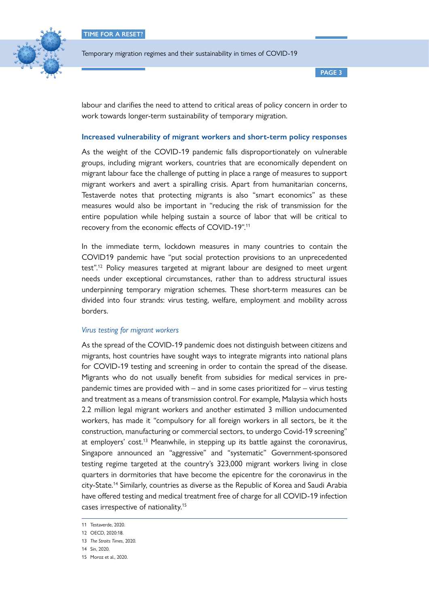

**PAGE 3**

labour and clarifies the need to attend to critical areas of policy concern in order to work towards longer-term sustainability of temporary migration.

## **Increased vulnerability of migrant workers and short-term policy responses**

As the weight of the COVID-19 pandemic falls disproportionately on vulnerable groups, including migrant workers, countries that are economically dependent on migrant labour face the challenge of putting in place a range of measures to support migrant workers and avert a spiralling crisis. Apart from humanitarian concerns, Testaverde notes that protecting migrants is also "smart economics" as these measures would also be important in "reducing the risk of transmission for the entire population while helping sustain a source of labor that will be critical to recovery from the economic effects of COVID-19".11

In the immediate term, lockdown measures in many countries to contain the COVID19 pandemic have "put social protection provisions to an unprecedented test".<sup>12</sup> Policy measures targeted at migrant labour are designed to meet urgent needs under exceptional circumstances, rather than to address structural issues underpinning temporary migration schemes. These short-term measures can be divided into four strands: virus testing, welfare, employment and mobility across borders.

## *Virus testing for migrant workers*

As the spread of the COVID-19 pandemic does not distinguish between citizens and migrants, host countries have sought ways to integrate migrants into national plans for COVID-19 testing and screening in order to contain the spread of the disease. Migrants who do not usually benefit from subsidies for medical services in prepandemic times are provided with – and in some cases prioritized for – virus testing and treatment as a means of transmission control. For example, Malaysia which hosts 2.2 million legal migrant workers and another estimated 3 million undocumented workers, has made it "compulsory for all foreign workers in all sectors, be it the construction, manufacturing or commercial sectors, to undergo Covid-19 screening" at employers' cost.<sup>13</sup> Meanwhile, in stepping up its battle against the coronavirus, Singapore announced an "aggressive" and "systematic" Government-sponsored testing regime targeted at the country's 323,000 migrant workers living in close quarters in dormitories that have become the epicentre for the coronavirus in the city-State.14 Similarly, countries as diverse as the Republic of Korea and Saudi Arabia have offered testing and medical treatment free of charge for all COVID-19 infection cases irrespective of nationality.15

<sup>11</sup> Testaverde, 2020.

<sup>12</sup> OECD, 2020:18.

<sup>13</sup> *The Straits Times*, 2020.

<sup>14</sup> Sin, 2020.

<sup>15</sup> Moroz et al., 2020.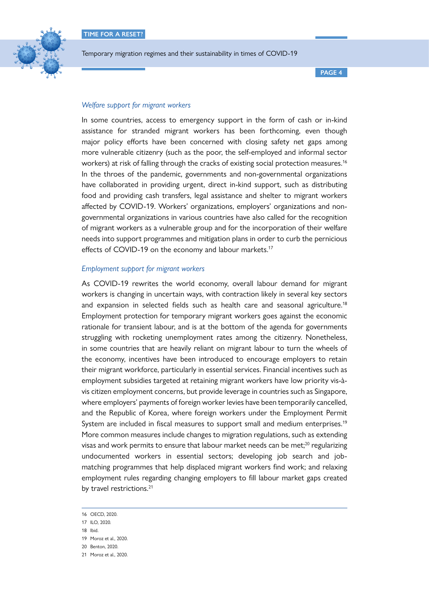

**PAGE 4**

# *Welfare support for migrant workers*

In some countries, access to emergency support in the form of cash or in-kind assistance for stranded migrant workers has been forthcoming, even though major policy efforts have been concerned with closing safety net gaps among more vulnerable citizenry (such as the poor, the self-employed and informal sector workers) at risk of falling through the cracks of existing social protection measures.<sup>16</sup> In the throes of the pandemic, governments and non-governmental organizations have collaborated in providing urgent, direct in-kind support, such as distributing food and providing cash transfers, legal assistance and shelter to migrant workers affected by COVID-19. Workers' organizations, employers' organizations and nongovernmental organizations in various countries have also called for the recognition of migrant workers as a vulnerable group and for the incorporation of their welfare needs into support programmes and mitigation plans in order to curb the pernicious effects of COVID-19 on the economy and labour markets.<sup>17</sup>

## *Employment support for migrant workers*

As COVID-19 rewrites the world economy, overall labour demand for migrant workers is changing in uncertain ways, with contraction likely in several key sectors and expansion in selected fields such as health care and seasonal agriculture.<sup>18</sup> Employment protection for temporary migrant workers goes against the economic rationale for transient labour, and is at the bottom of the agenda for governments struggling with rocketing unemployment rates among the citizenry. Nonetheless, in some countries that are heavily reliant on migrant labour to turn the wheels of the economy, incentives have been introduced to encourage employers to retain their migrant workforce, particularly in essential services. Financial incentives such as employment subsidies targeted at retaining migrant workers have low priority vis-àvis citizen employment concerns, but provide leverage in countries such as Singapore, where employers' payments of foreign worker levies have been temporarily cancelled, and the Republic of Korea, where foreign workers under the Employment Permit System are included in fiscal measures to support small and medium enterprises.<sup>19</sup> More common measures include changes to migration regulations, such as extending visas and work permits to ensure that labour market needs can be met:<sup>20</sup> regularizing undocumented workers in essential sectors; developing job search and jobmatching programmes that help displaced migrant workers find work; and relaxing employment rules regarding changing employers to fill labour market gaps created by travel restrictions.<sup>21</sup>

<sup>16</sup> OECD, 2020.

<sup>17</sup> ILO, 2020.

<sup>18</sup> Ibid.

<sup>19</sup> Moroz et al., 2020.

<sup>20</sup> Benton, 2020.

<sup>21</sup> Moroz et al., 2020.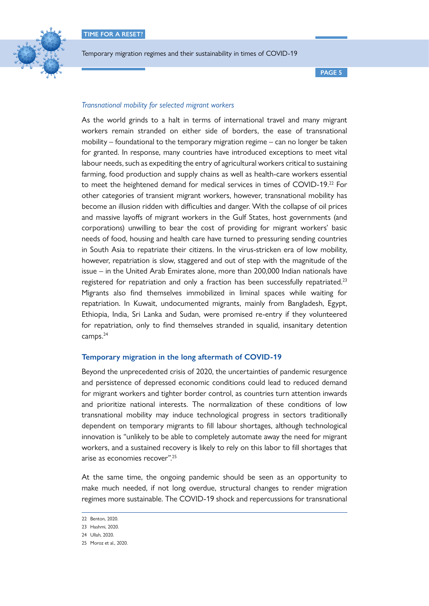

**PAGE 5**

# *Transnational mobility for selected migrant workers*

As the world grinds to a halt in terms of international travel and many migrant workers remain stranded on either side of borders, the ease of transnational mobility – foundational to the temporary migration regime – can no longer be taken for granted. In response, many countries have introduced exceptions to meet vital labour needs, such as expediting the entry of agricultural workers critical to sustaining farming, food production and supply chains as well as health-care workers essential to meet the heightened demand for medical services in times of COVID-19.<sup>22</sup> For other categories of transient migrant workers, however, transnational mobility has become an illusion ridden with difficulties and danger. With the collapse of oil prices and massive layoffs of migrant workers in the Gulf States, host governments (and corporations) unwilling to bear the cost of providing for migrant workers' basic needs of food, housing and health care have turned to pressuring sending countries in South Asia to repatriate their citizens. In the virus-stricken era of low mobility, however, repatriation is slow, staggered and out of step with the magnitude of the issue – in the United Arab Emirates alone, more than 200,000 Indian nationals have registered for repatriation and only a fraction has been successfully repatriated.<sup>23</sup> Migrants also find themselves immobilized in liminal spaces while waiting for repatriation. In Kuwait, undocumented migrants, mainly from Bangladesh, Egypt, Ethiopia, India, Sri Lanka and Sudan, were promised re-entry if they volunteered for repatriation, only to find themselves stranded in squalid, insanitary detention camps.<sup>24</sup>

## **Temporary migration in the long aftermath of COVID-19**

Beyond the unprecedented crisis of 2020, the uncertainties of pandemic resurgence and persistence of depressed economic conditions could lead to reduced demand for migrant workers and tighter border control, as countries turn attention inwards and prioritize national interests. The normalization of these conditions of low transnational mobility may induce technological progress in sectors traditionally dependent on temporary migrants to fill labour shortages, although technological innovation is "unlikely to be able to completely automate away the need for migrant workers, and a sustained recovery is likely to rely on this labor to fill shortages that arise as economies recover".25

At the same time, the ongoing pandemic should be seen as an opportunity to make much needed, if not long overdue, structural changes to render migration regimes more sustainable. The COVID-19 shock and repercussions for transnational

<sup>22</sup> Benton, 2020.

<sup>23</sup> Hashmi, 2020.

<sup>24</sup> Ullah, 2020.

<sup>25</sup> Moroz et al., 2020.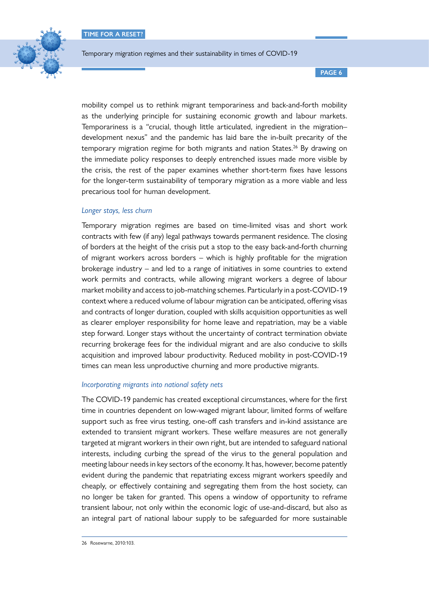

**PAGE 6**

mobility compel us to rethink migrant temporariness and back-and-forth mobility as the underlying principle for sustaining economic growth and labour markets. Temporariness is a "crucial, though little articulated, ingredient in the migration– development nexus" and the pandemic has laid bare the in-built precarity of the temporary migration regime for both migrants and nation States.<sup>26</sup> By drawing on the immediate policy responses to deeply entrenched issues made more visible by the crisis, the rest of the paper examines whether short-term fixes have lessons for the longer-term sustainability of temporary migration as a more viable and less precarious tool for human development.

## *Longer stays, less churn*

Temporary migration regimes are based on time-limited visas and short work contracts with few (if any) legal pathways towards permanent residence. The closing of borders at the height of the crisis put a stop to the easy back-and-forth churning of migrant workers across borders – which is highly profitable for the migration brokerage industry – and led to a range of initiatives in some countries to extend work permits and contracts, while allowing migrant workers a degree of labour market mobility and access to job-matching schemes. Particularly in a post-COVID-19 context where a reduced volume of labour migration can be anticipated, offering visas and contracts of longer duration, coupled with skills acquisition opportunities as well as clearer employer responsibility for home leave and repatriation, may be a viable step forward. Longer stays without the uncertainty of contract termination obviate recurring brokerage fees for the individual migrant and are also conducive to skills acquisition and improved labour productivity. Reduced mobility in post-COVID-19 times can mean less unproductive churning and more productive migrants.

#### *Incorporating migrants into national safety nets*

The COVID-19 pandemic has created exceptional circumstances, where for the first time in countries dependent on low-waged migrant labour, limited forms of welfare support such as free virus testing, one-off cash transfers and in-kind assistance are extended to transient migrant workers. These welfare measures are not generally targeted at migrant workers in their own right, but are intended to safeguard national interests, including curbing the spread of the virus to the general population and meeting labour needs in key sectors of the economy. It has, however, become patently evident during the pandemic that repatriating excess migrant workers speedily and cheaply, or effectively containing and segregating them from the host society, can no longer be taken for granted. This opens a window of opportunity to reframe transient labour, not only within the economic logic of use-and-discard, but also as an integral part of national labour supply to be safeguarded for more sustainable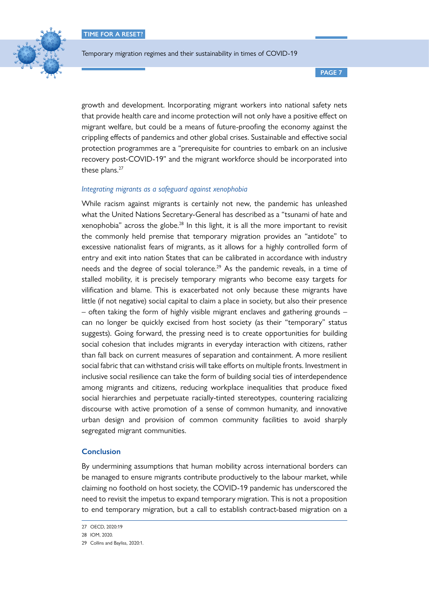**TIME FOR A RESET?**



Temporary migration regimes and their sustainability in times of COVID-19

**PAGE 7**

growth and development. Incorporating migrant workers into national safety nets that provide health care and income protection will not only have a positive effect on migrant welfare, but could be a means of future-proofing the economy against the crippling effects of pandemics and other global crises. Sustainable and effective social protection programmes are a "prerequisite for countries to embark on an inclusive recovery post-COVID-19" and the migrant workforce should be incorporated into these plans.<sup>27</sup>

## *Integrating migrants as a safeguard against xenophobia*

While racism against migrants is certainly not new, the pandemic has unleashed what the United Nations Secretary-General has described as a "tsunami of hate and xenophobia" across the globe. $28$  In this light, it is all the more important to revisit the commonly held premise that temporary migration provides an "antidote" to excessive nationalist fears of migrants, as it allows for a highly controlled form of entry and exit into nation States that can be calibrated in accordance with industry needs and the degree of social tolerance.<sup>29</sup> As the pandemic reveals, in a time of stalled mobility, it is precisely temporary migrants who become easy targets for vilification and blame. This is exacerbated not only because these migrants have little (if not negative) social capital to claim a place in society, but also their presence – often taking the form of highly visible migrant enclaves and gathering grounds – can no longer be quickly excised from host society (as their "temporary" status suggests). Going forward, the pressing need is to create opportunities for building social cohesion that includes migrants in everyday interaction with citizens, rather than fall back on current measures of separation and containment. A more resilient social fabric that can withstand crisis will take efforts on multiple fronts. Investment in inclusive social resilience can take the form of building social ties of interdependence among migrants and citizens, reducing workplace inequalities that produce fixed social hierarchies and perpetuate racially-tinted stereotypes, countering racializing discourse with active promotion of a sense of common humanity, and innovative urban design and provision of common community facilities to avoid sharply segregated migrant communities.

## **Conclusion**

By undermining assumptions that human mobility across international borders can be managed to ensure migrants contribute productively to the labour market, while claiming no foothold on host society, the COVID-19 pandemic has underscored the need to revisit the impetus to expand temporary migration. This is not a proposition to end temporary migration, but a call to establish contract-based migration on a

<sup>27</sup> OECD, 2020:19

<sup>28</sup> IOM, 2020.

<sup>29</sup> Collins and Bayliss, 2020:1.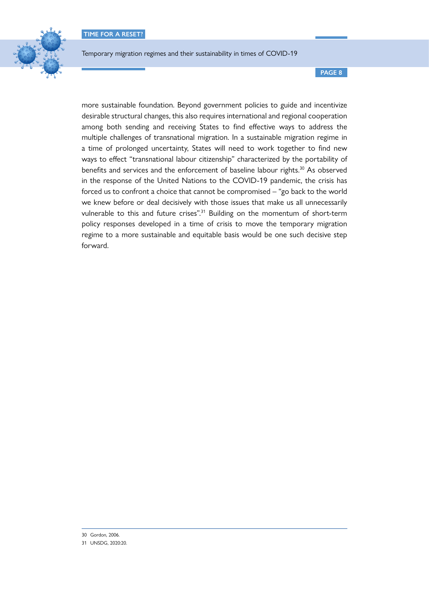

**PAGE 8**

more sustainable foundation. Beyond government policies to guide and incentivize desirable structural changes, this also requires international and regional cooperation among both sending and receiving States to find effective ways to address the multiple challenges of transnational migration. In a sustainable migration regime in a time of prolonged uncertainty, States will need to work together to find new ways to effect "transnational labour citizenship" characterized by the portability of benefits and services and the enforcement of baseline labour rights.<sup>30</sup> As observed in the response of the United Nations to the COVID-19 pandemic, the crisis has forced us to confront a choice that cannot be compromised – "go back to the world we knew before or deal decisively with those issues that make us all unnecessarily vulnerable to this and future crises".<sup>31</sup> Building on the momentum of short-term policy responses developed in a time of crisis to move the temporary migration regime to a more sustainable and equitable basis would be one such decisive step forward.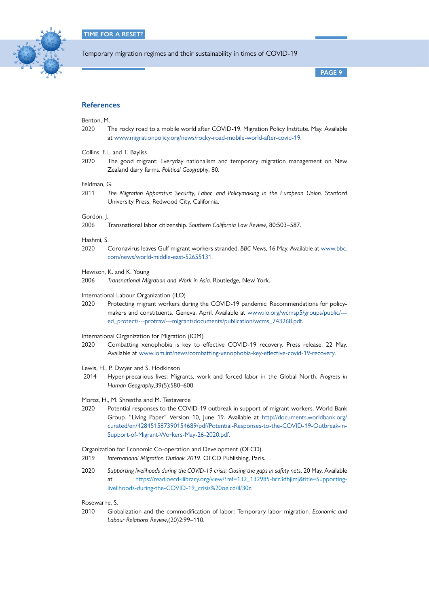

**PAGE 9**

## **References**

#### Benton, M.

- 2020 The rocky road to a mobile world after COVID-19. Migration Policy Institute. May. Available at [www.migrationpolicy.org/news/rocky-road-mobile-world-after-covid-19.](http://www.migrationpolicy.org/news/rocky-road-mobile-world-after-covid-19)
- Collins, F.L. and T. Bayliss
- 2020 The good migrant: Everyday nationalism and temporary migration management on New Zealand dairy farms. *Political Geography*, 80.

#### Feldman, G.

2011 *The Migration Apparatus: Security, Labor, and Policymaking in the European Union.* Stanford University Press, Redwood City, California.

## Gordon, J.

2006 Transnational labor citizenship. *Southern California Law Review*, 80:503–587.

#### Hashmi, S.

2020 Coronavirus leaves Gulf migrant workers stranded. *BBC News*, 16 May. Available at [www.bbc.](http://www.bbc.com/news/world-middle-east-52655131) [com/news/world-middle-east-52655131.](http://www.bbc.com/news/world-middle-east-52655131)

#### Hewison, K. and K. Young

2006 *Transnational Migration and Work in Asia*. Routledge, New York.

#### International Labour Organization (ILO)

- 2020 Protecting migrant workers during the COVID-19 pandemic: Recommendations for policymakers and constituents. Geneva, April. Available at [www.ilo.org/wcmsp5/groups/public/--](http://www.ilo.org/wcmsp5/groups/public/---ed_protect/---protrav/---migrant/documents/publication/wcms_743268.pdf) [ed\\_protect/---protrav/---migrant/documents/publication/wcms\\_743268.pdf.](http://www.ilo.org/wcmsp5/groups/public/---ed_protect/---protrav/---migrant/documents/publication/wcms_743268.pdf)
- International Organization for Migration (IOM)
- 2020 Combatting xenophobia is key to effective COVID-19 recovery. Press release, 22 May. Available at [www.iom.int/news/combatting-xenophobia-key-effective-covid-19-recovery](http://www.iom.int/news/combatting-xenophobia-key-effective-covid-19-recovery).
- Lewis, H., P. Dwyer and S. Hodkinson
- 2014 Hyper-precarious lives: Migrants, work and forced labor in the Global North. *Progress in Human Geography*,39(5):580–600.

#### Moroz, H., M. Shrestha and M. Testaverde

2020 Potential responses to the COVID-19 outbreak in support of migrant workers. World Bank Group. "Living Paper" Version 10, June 19. Available at [http://documents.worldbank.org/](http://documents.worldbank.org/curated/en/428451587390154689/pdf/Potential-Responses-to-the-COVID-19-Outbreak-in-Support-of-Migrant-Workers-May-26-2020.pdf) [curated/en/428451587390154689/pdf/Potential-Responses-to-the-COVID-19-Outbreak-in-](http://documents.worldbank.org/curated/en/428451587390154689/pdf/Potential-Responses-to-the-COVID-19-Outbreak-in-Support-of-Migrant-Workers-May-26-2020.pdf)[Support-of-Migrant-Workers-May-26-2020.pdf](http://documents.worldbank.org/curated/en/428451587390154689/pdf/Potential-Responses-to-the-COVID-19-Outbreak-in-Support-of-Migrant-Workers-May-26-2020.pdf).

#### Organization for Economic Co-operation and Development (OECD)

- 2019 *International Migration Outlook 2019*. OECD Publishing, Paris.
- 2020 *Supporting livelihoods during the COVID-19 crisis: Closing the gaps in safety nets*. 20 May. Available at https://read.oecd-ilibrary.org/view/?ref=132\_132985-hrr3dbjimj&title=Supportinglivelihoods-during-the-COVID-19\_crisis%20oe.cd/il/30z.

Rosewarne, S.

2010 Globalization and the commodification of labor: Temporary labor migration. *Economic and Labour Relations Review*,(20)2:99–110.